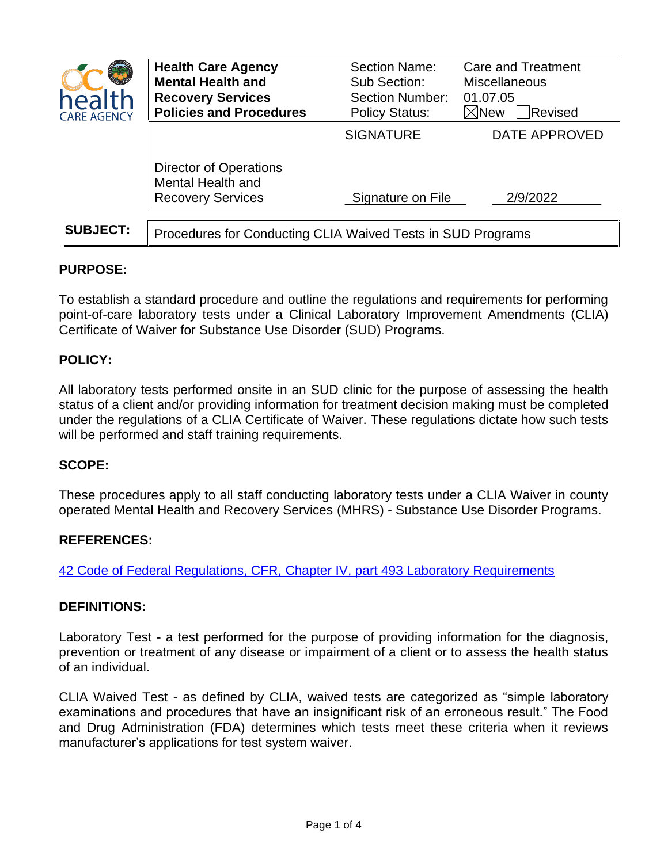| health<br><b>CARE AGENCY</b> | <b>Health Care Agency</b><br><b>Mental Health and</b><br><b>Recovery Services</b><br><b>Policies and Procedures</b> | Section Name:<br>Sub Section:<br><b>Section Number:</b><br><b>Policy Status:</b> | <b>Care and Treatment</b><br><b>Miscellaneous</b><br>01.07.05<br>$\boxtimes$ New<br>Revised |
|------------------------------|---------------------------------------------------------------------------------------------------------------------|----------------------------------------------------------------------------------|---------------------------------------------------------------------------------------------|
|                              |                                                                                                                     | <b>SIGNATURE</b>                                                                 | DATE APPROVED                                                                               |
|                              | <b>Director of Operations</b><br>Mental Health and<br><b>Recovery Services</b>                                      | Signature on File                                                                | 2/9/2022                                                                                    |
|                              |                                                                                                                     |                                                                                  |                                                                                             |
| <b>SUBJECT:</b>              | Procedures for Conducting CLIA Waived Tests in SUD Programs                                                         |                                                                                  |                                                                                             |

# **PURPOSE:**

To establish a standard procedure and outline the regulations and requirements for performing point-of-care laboratory tests under a Clinical Laboratory Improvement Amendments (CLIA) Certificate of Waiver for Substance Use Disorder (SUD) Programs.

## **POLICY:**

All laboratory tests performed onsite in an SUD clinic for the purpose of assessing the health status of a client and/or providing information for treatment decision making must be completed under the regulations of a CLIA Certificate of Waiver. These regulations dictate how such tests will be performed and staff training requirements.

## **SCOPE:**

These procedures apply to all staff conducting laboratory tests under a CLIA Waiver in county operated Mental Health and Recovery Services (MHRS) - Substance Use Disorder Programs.

#### **REFERENCES:**

[42 Code of Federal Regulations, CFR,](https://gcc02.safelinks.protection.outlook.com/?url=https%3A%2F%2Fwww.ecfr.gov%2Fcurrent%2Ftitle-42%2Fchapter-IV%2Fsubchapter-G%2Fpart-493&data=04%7C01%7Cssilva%40ochca.com%7Cc0d153f41f754a46fa3308d9d616dbf2%7Ce4449a56cd3d40baae3225a63deaab3b%7C0%7C0%7C637776215927384180%7CUnknown%7CTWFpbGZsb3d8eyJWIjoiMC4wLjAwMDAiLCJQIjoiV2luMzIiLCJBTiI6Ik1haWwiLCJXVCI6Mn0%3D%7C3000&sdata=MxSYPzBO4Isyq8R8Vc1AcaDWcqerMBz9KmakCdv6IBE%3D&reserved=0) Chapter IV, part 493 Laboratory Requirements

#### **DEFINITIONS:**

Laboratory Test - a test performed for the purpose of providing information for the diagnosis, prevention or treatment of any disease or impairment of a client or to assess the health status of an individual.

CLIA Waived Test - as defined by CLIA, waived tests are categorized as "simple laboratory examinations and procedures that have an insignificant risk of an erroneous result." The Food and Drug Administration (FDA) determines which tests meet these criteria when it reviews manufacturer's applications for test system waiver.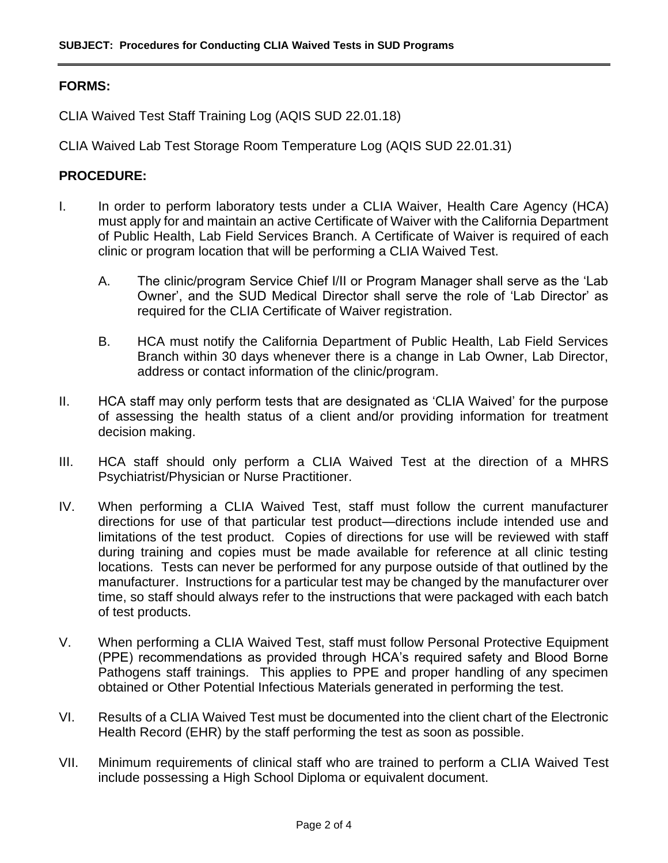## **FORMS:**

CLIA Waived Test Staff Training Log (AQIS SUD 22.01.18)

CLIA Waived Lab Test Storage Room Temperature Log (AQIS SUD 22.01.31)

### **PROCEDURE:**

- I. In order to perform laboratory tests under a CLIA Waiver, Health Care Agency (HCA) must apply for and maintain an active Certificate of Waiver with the California Department of Public Health, Lab Field Services Branch. A Certificate of Waiver is required of each clinic or program location that will be performing a CLIA Waived Test.
	- A. The clinic/program Service Chief I/II or Program Manager shall serve as the 'Lab Owner', and the SUD Medical Director shall serve the role of 'Lab Director' as required for the CLIA Certificate of Waiver registration.
	- B. HCA must notify the California Department of Public Health, Lab Field Services Branch within 30 days whenever there is a change in Lab Owner, Lab Director, address or contact information of the clinic/program.
- II. HCA staff may only perform tests that are designated as 'CLIA Waived' for the purpose of assessing the health status of a client and/or providing information for treatment decision making.
- III. HCA staff should only perform a CLIA Waived Test at the direction of a MHRS Psychiatrist/Physician or Nurse Practitioner.
- IV. When performing a CLIA Waived Test, staff must follow the current manufacturer directions for use of that particular test product—directions include intended use and limitations of the test product. Copies of directions for use will be reviewed with staff during training and copies must be made available for reference at all clinic testing locations. Tests can never be performed for any purpose outside of that outlined by the manufacturer. Instructions for a particular test may be changed by the manufacturer over time, so staff should always refer to the instructions that were packaged with each batch of test products.
- V. When performing a CLIA Waived Test, staff must follow Personal Protective Equipment (PPE) recommendations as provided through HCA's required safety and Blood Borne Pathogens staff trainings. This applies to PPE and proper handling of any specimen obtained or Other Potential Infectious Materials generated in performing the test.
- VI. Results of a CLIA Waived Test must be documented into the client chart of the Electronic Health Record (EHR) by the staff performing the test as soon as possible.
- VII. Minimum requirements of clinical staff who are trained to perform a CLIA Waived Test include possessing a High School Diploma or equivalent document.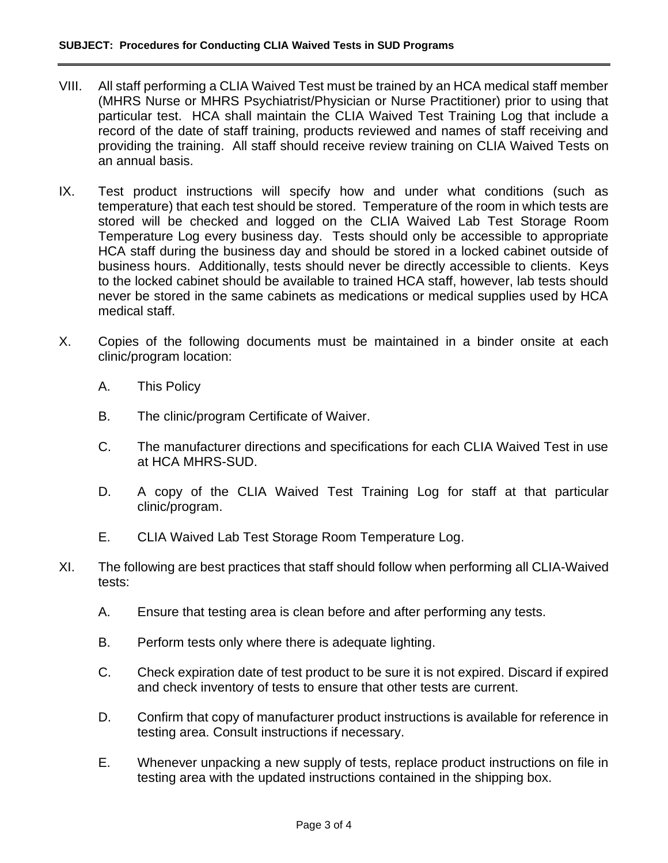- VIII. All staff performing a CLIA Waived Test must be trained by an HCA medical staff member (MHRS Nurse or MHRS Psychiatrist/Physician or Nurse Practitioner) prior to using that particular test. HCA shall maintain the CLIA Waived Test Training Log that include a record of the date of staff training, products reviewed and names of staff receiving and providing the training. All staff should receive review training on CLIA Waived Tests on an annual basis.
- IX. Test product instructions will specify how and under what conditions (such as temperature) that each test should be stored. Temperature of the room in which tests are stored will be checked and logged on the CLIA Waived Lab Test Storage Room Temperature Log every business day. Tests should only be accessible to appropriate HCA staff during the business day and should be stored in a locked cabinet outside of business hours. Additionally, tests should never be directly accessible to clients. Keys to the locked cabinet should be available to trained HCA staff, however, lab tests should never be stored in the same cabinets as medications or medical supplies used by HCA medical staff.
- X. Copies of the following documents must be maintained in a binder onsite at each clinic/program location:
	- A. This Policy
	- B. The clinic/program Certificate of Waiver.
	- C. The manufacturer directions and specifications for each CLIA Waived Test in use at HCA MHRS-SUD.
	- D. A copy of the CLIA Waived Test Training Log for staff at that particular clinic/program.
	- E. CLIA Waived Lab Test Storage Room Temperature Log.
- XI. The following are best practices that staff should follow when performing all CLIA-Waived tests:
	- A. Ensure that testing area is clean before and after performing any tests.
	- B. Perform tests only where there is adequate lighting.
	- C. Check expiration date of test product to be sure it is not expired. Discard if expired and check inventory of tests to ensure that other tests are current.
	- D. Confirm that copy of manufacturer product instructions is available for reference in testing area. Consult instructions if necessary.
	- E. Whenever unpacking a new supply of tests, replace product instructions on file in testing area with the updated instructions contained in the shipping box.